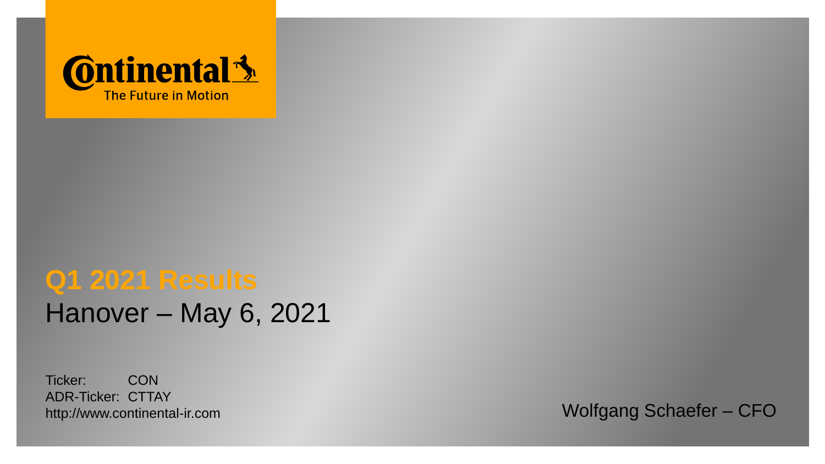

# **Q1 2021 Results** Hanover – May 6, 2021

Ticker: CON ADR-Ticker: CTTAY

http://www.continental-ir.com Wolfgang Schaefer – CFO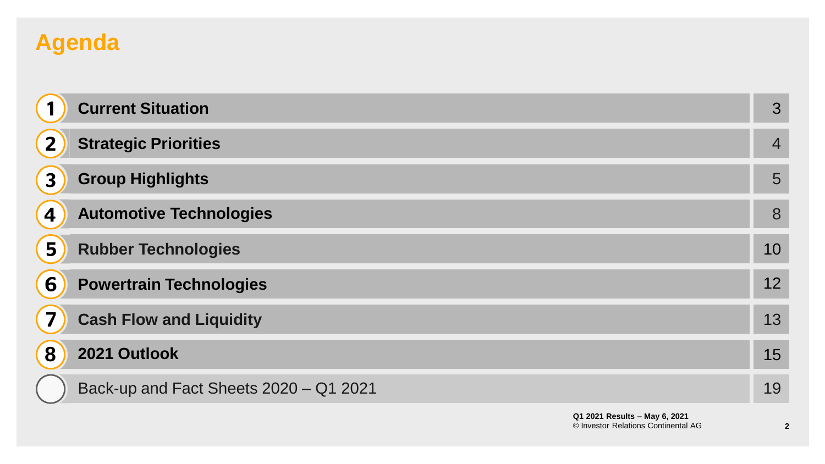# **Agenda**

|   | <b>Current Situation</b>               | 3              |
|---|----------------------------------------|----------------|
| 2 | <b>Strategic Priorities</b>            | $\overline{4}$ |
| 3 | <b>Group Highlights</b>                | 5              |
|   | <b>Automotive Technologies</b>         | 8              |
| 5 | <b>Rubber Technologies</b>             | 10             |
| 6 | <b>Powertrain Technologies</b>         | 12             |
|   | <b>Cash Flow and Liquidity</b>         | 13             |
| 8 | 2021 Outlook                           | 15             |
|   | Back-up and Fact Sheets 2020 - Q1 2021 | 19             |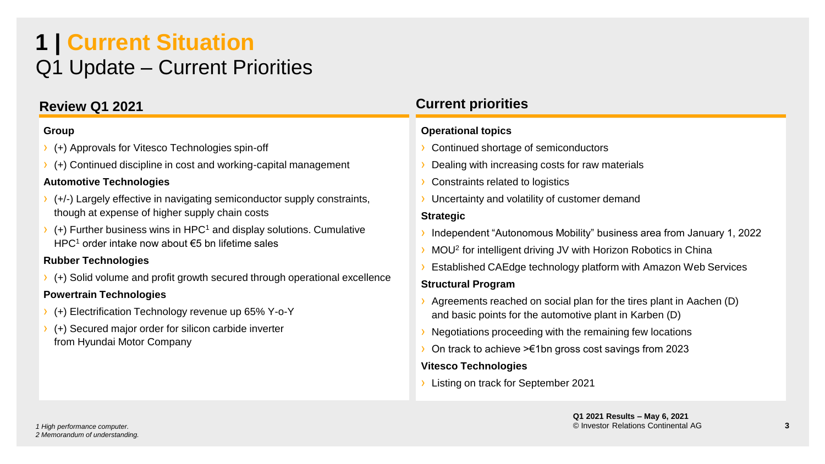# **1 | Current Situation** Q1 Update – Current Priorities

### **Review Q1 2021**

### **Group**

- › (+) Approvals for Vitesco Technologies spin-off
- $\rightarrow$  (+) Continued discipline in cost and working-capital management

### **Automotive Technologies**

- › (+/-) Largely effective in navigating semiconductor supply constraints, though at expense of higher supply chain costs
- $(+)$  Further business wins in HPC<sup>1</sup> and display solutions. Cumulative HPC<sup>1</sup> order intake now about €5 bn lifetime sales

#### **Rubber Technologies**

 $\rightarrow$  (+) Solid volume and profit growth secured through operational excellence

### **Powertrain Technologies**

- › (+) Electrification Technology revenue up 65% Y-o-Y
- › (+) Secured major order for silicon carbide inverter from Hyundai Motor Company

### **Current priorities**

### **Operational topics**

- › Continued shortage of semiconductors
- Dealing with increasing costs for raw materials
- › Constraints related to logistics
- › Uncertainty and volatility of customer demand

#### **Strategic**

- › Independent "Autonomous Mobility" business area from January 1, 2022
- MOU<sup>2</sup> for intelligent driving JV with Horizon Robotics in China
- Established CAEdge technology platform with Amazon Web Services

#### **Structural Program**

- Agreements reached on social plan for the tires plant in Aachen (D) and basic points for the automotive plant in Karben (D)
- Negotiations proceeding with the remaining few locations
- › On track to achieve >€1bn gross cost savings from 2023

#### **Vitesco Technologies**

› Listing on track for September 2021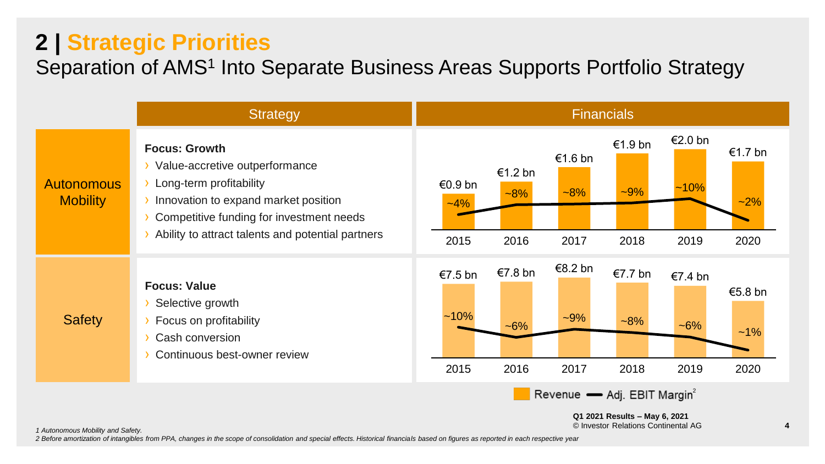# **2 | Strategic Priorities**

## Separation of AMS<sup>1</sup> Into Separate Business Areas Supports Portfolio Strategy

|                                      | <b>Strategy</b>                                                                                                                                                                                                            | <b>Financials</b>                                                                                                                                                       |
|--------------------------------------|----------------------------------------------------------------------------------------------------------------------------------------------------------------------------------------------------------------------------|-------------------------------------------------------------------------------------------------------------------------------------------------------------------------|
| <b>Autonomous</b><br><b>Mobility</b> | <b>Focus: Growth</b><br>Value-accretive outperformance<br>Long-term profitability<br>Innovation to expand market position<br>Competitive funding for investment needs<br>Ability to attract talents and potential partners | €2.0 bn<br>€1.9 bn<br>€1.7 bn<br>€1.6 bn<br>€1.2 bn<br>€0.9 bn<br>$~10\%$<br>$-9%$<br>$-8%$<br>$-8%$<br>$-2%$<br>$-4%$<br>2016<br>2015<br>2017<br>2018<br>2019<br>2020  |
| <b>Safety</b>                        | <b>Focus: Value</b><br>Selective growth<br>> Focus on profitability<br>Cash conversion<br>Continuous best-owner review                                                                                                     | €8.2 bn<br>€7.8 bn<br>€7.7 bn<br>€7.5 bn<br>€7.4 bn<br>€5.8 bn<br>$~10\%$<br>$-9%$<br>$-8%$<br>$-6%$<br>$-6%$<br>$~1\%$<br>2015<br>2016<br>2017<br>2018<br>2019<br>2020 |
|                                      |                                                                                                                                                                                                                            | Revenue $\longrightarrow$ Adj. EBIT Margin <sup>2</sup>                                                                                                                 |

**Q1 2021 Results – May 6, 2021** © Investor Relations Continental AG

*1 Autonomous Mobility and Safety.* 

*2 Before amortization of intangibles from PPA, changes in the scope of consolidation and special effects. Historical financials based on figures as reported in each respective year*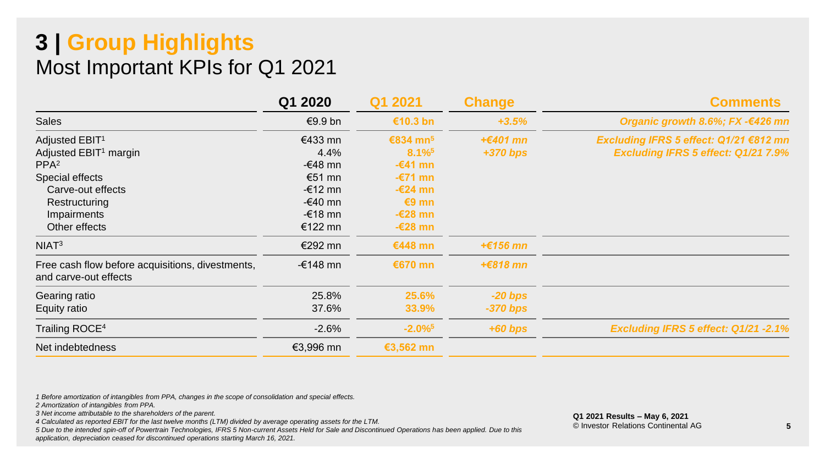# **3 | Group Highlights** Most Important KPIs for Q1 2021

|                                                                           | Q1 2020    | Q1 2021               | <b>Change</b> | <b>Comments</b>                            |
|---------------------------------------------------------------------------|------------|-----------------------|---------------|--------------------------------------------|
| Sales                                                                     | €9.9 bn    | €10.3 bn              | $+3.5%$       | Organic growth 8.6%; FX-€426 mn            |
| Adjusted EBIT <sup>1</sup>                                                | €433 mn    | €834 mn <sup>5</sup>  | $+€401$ mn    | Excluding IFRS 5 effect: Q1/21 €812 mn     |
| Adjusted EBIT <sup>1</sup> margin                                         | 4.4%       | $8.1\%$ <sup>5</sup>  | $+370$ bps    | <b>Excluding IFRS 5 effect: Q1/21 7.9%</b> |
| PPA <sup>2</sup>                                                          | $-648$ mn  | $-641$ mn             |               |                                            |
| Special effects                                                           | €51 mn     | $-£71$ mn             |               |                                            |
| Carve-out effects                                                         | -€12 mn    | -€24 mn               |               |                                            |
| Restructuring                                                             | -€40 mn    | €9 mn                 |               |                                            |
| Impairments                                                               | $-£18$ mn  | -€28 mn               |               |                                            |
| Other effects                                                             | €122 mn    | $-£28$ mn             |               |                                            |
| NIAT <sup>3</sup>                                                         | €292 mn    | €448 mn               | $+£156$ mn    |                                            |
| Free cash flow before acquisitions, divestments,<br>and carve-out effects | $-£148$ mn | €670 mn               | $+€818$ mn    |                                            |
| Gearing ratio                                                             | 25.8%      | 25.6%                 | $-20$ bps     |                                            |
| Equity ratio                                                              | 37.6%      | 33.9%                 | $-370$ bps    |                                            |
| Trailing ROCE <sup>4</sup>                                                | $-2.6%$    | $-2.0\%$ <sup>5</sup> | $+60$ bps     | Excluding IFRS 5 effect: Q1/21 -2.1%       |
| Net indebtedness                                                          | €3,996 mn  | €3,562 mn             |               |                                            |

*1 Before amortization of intangibles from PPA, changes in the scope of consolidation and special effects.*

*2 Amortization of intangibles from PPA.*

*3 Net income attributable to the shareholders of the parent.*

3 Net income attributable to the shareholders of the parent.<br>4 Calculated as reported EBIT for the last twelve months (LTM) divided by average operating assets for the LTM.

+ Cancuateu as reporteu Lori for the last twent monuta (Limi) unidential preventing as the intended spin-off of<br>5 Due to the intended spin-off of Powertrain Technologies, IFRS 5 Non-current Assets Held for Sale and Discont *application, depreciation ceased for discontinued operations starting March 16, 2021.*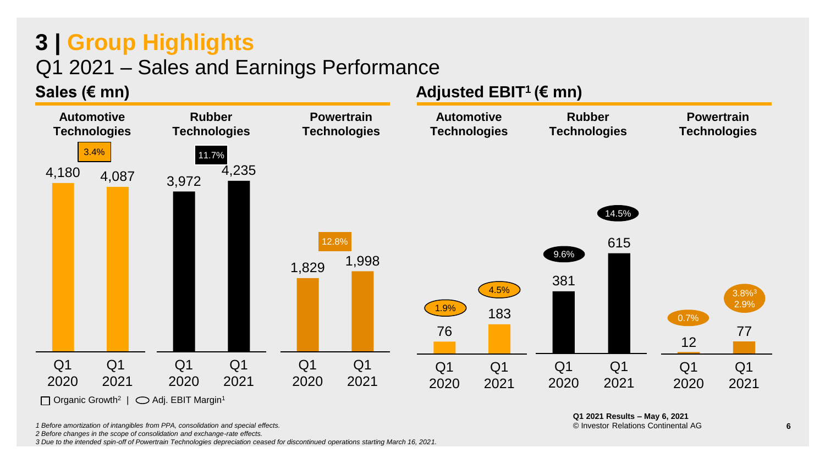# **3 | Group Highlights** Q1 2021 – Sales and Earnings Performance



*1 Before amortization of intangibles from PPA, consolidation and special effects.*

*2 Before changes in the scope of consolidation and exchange-rate effects.*

*3 Due to the intended spin-off of Powertrain Technologies depreciation ceased for discontinued operations starting March 16, 2021.*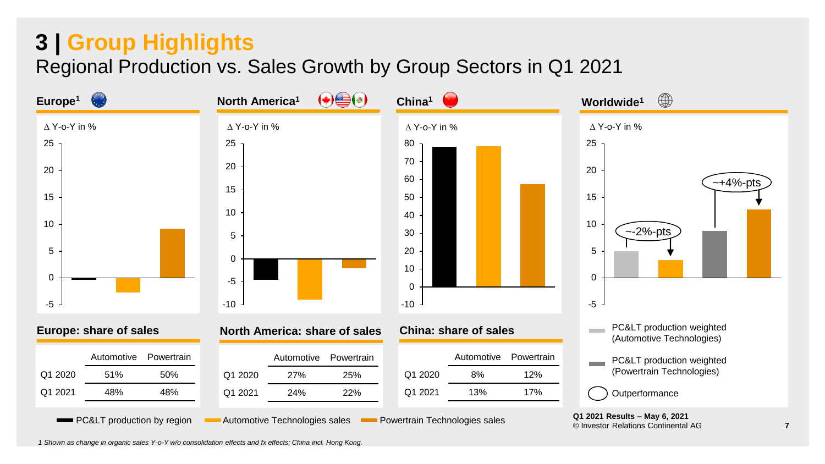# **3 | Group Highlights**

Regional Production vs. Sales Growth by Group Sectors in Q1 2021



*1 Shown as change in organic sales Y-o-Y w/o consolidation effects and fx effects; China incl. Hong Kong.*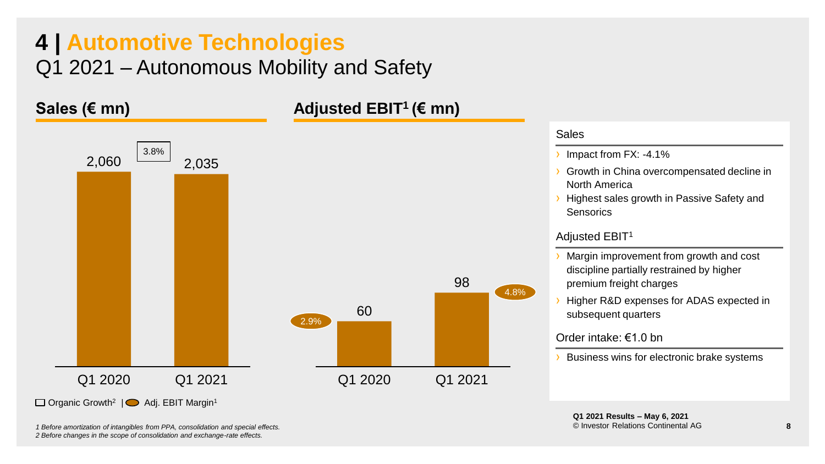# **4 | Automotive Technologies** Q1 2021 – Autonomous Mobility and Safety



*1 Before amortization of intangibles from PPA, consolidation and special effects.*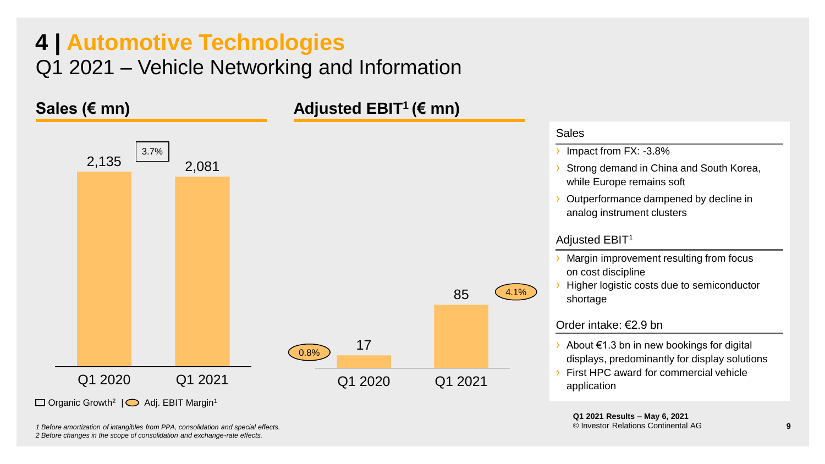# **4 | Automotive Technologies** Q1 2021 – Vehicle Networking and Information



*1 Before amortization of intangibles from PPA, consolidation and special effects.*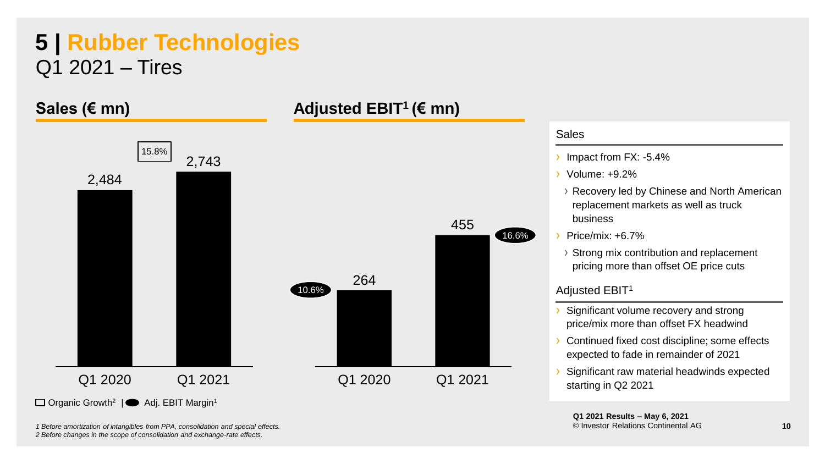# **5 | Rubber Technologies** Q1 2021 – Tires



*1 Before amortization of intangibles from PPA, consolidation and special effects.*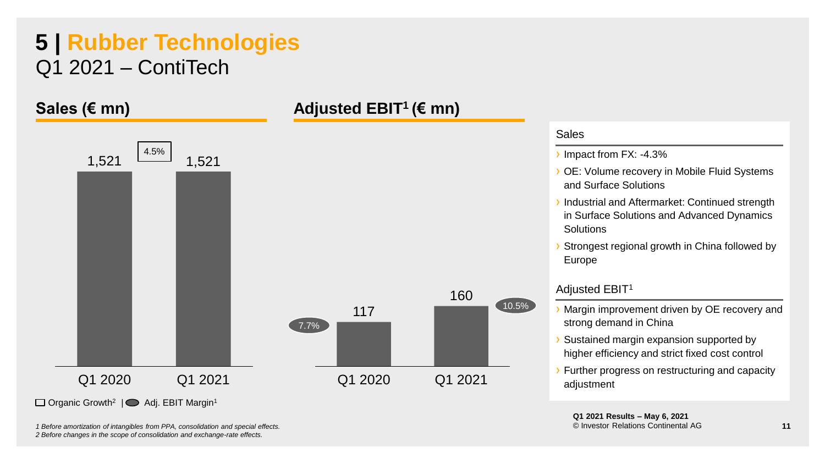# **5 | Rubber Technologies** Q1 2021 – ContiTech



*1 Before amortization of intangibles from PPA, consolidation and special effects.*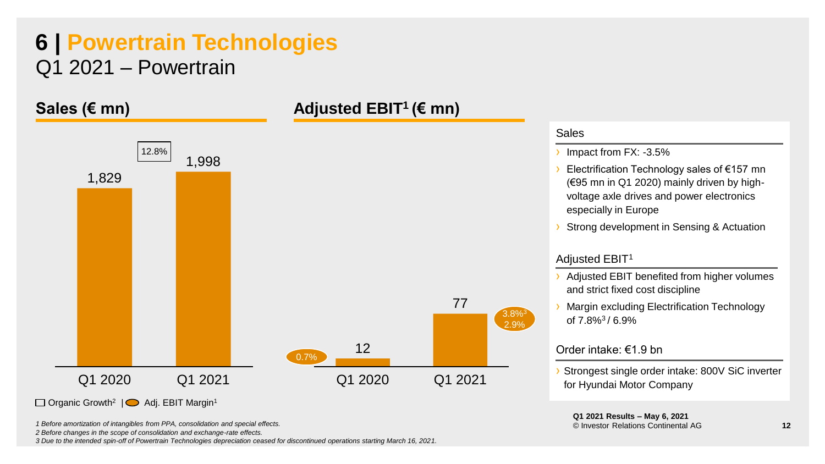# **6 | Powertrain Technologies** Q1 2021 – Powertrain



*1 Before amortization of intangibles from PPA, consolidation and special effects.*

*2 Before changes in the scope of consolidation and exchange-rate effects.*

*3 Due to the intended spin-off of Powertrain Technologies depreciation ceased for discontinued operations starting March 16, 2021.*

#### © Investor Relations Continental AG **12**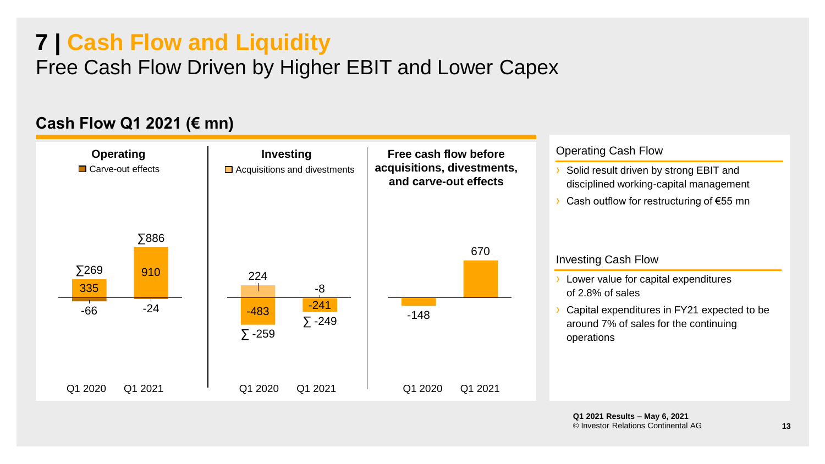# **7 | Cash Flow and Liquidity**

# Free Cash Flow Driven by Higher EBIT and Lower Capex

### **Cash Flow Q1 2021 (€ mn)**

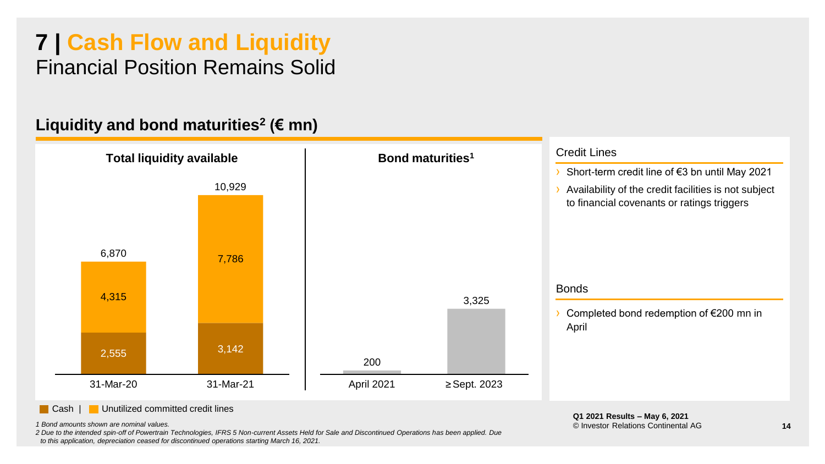# **7 | Cash Flow and Liquidity** Financial Position Remains Solid

### **Liquidity and bond maturities<sup>2</sup> (€ mn)**



Cash | Unutilized committed credit lines

*1 Bond amounts shown are nominal values.*

1 Bond amounts shown are nominal values.<br>2 Due to the intended spin-off of Powertrain Technologies, IFRS 5 Non-current Assets Held for Sale and Discontinued Operations has been applied. Due *to this application, depreciation ceased for discontinued operations starting March 16, 2021.*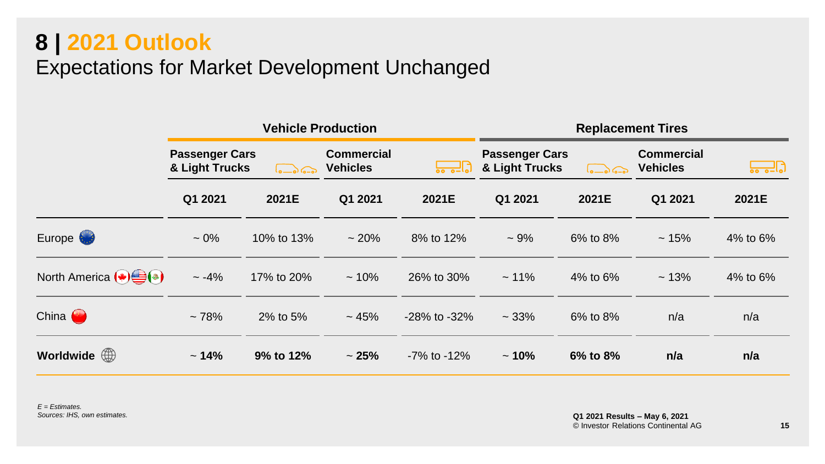# **8 | 2021 Outlook** Expectations for Market Development Unchanged

|                   |                                         |                     | <b>Vehicle Production</b>            |                    |                                                                                                   | <b>Replacement Tires</b> |         |              |
|-------------------|-----------------------------------------|---------------------|--------------------------------------|--------------------|---------------------------------------------------------------------------------------------------|--------------------------|---------|--------------|
|                   | <b>Passenger Cars</b><br>& Light Trucks | l <b>。__</b> ? __ ? | <b>Commercial</b><br><b>Vehicles</b> | <u> 15 - 19</u>    | <b>Commercial</b><br><b>Passenger Cars</b><br>& Light Trucks<br><b>Vehicles</b><br><b>6-06-01</b> |                          |         | <u>these</u> |
|                   | Q1 2021                                 | 2021E               | Q1 2021                              | 2021E              | Q1 2021                                                                                           | 2021E                    | Q1 2021 | 2021E        |
| Europe $\bullet$  | $~10\%$                                 | 10% to 13%          | $~20\%$                              | 8% to 12%          | $~10\%$                                                                                           | $6\%$ to $8\%$           | ~15%    | 4% to $6\%$  |
| North America (*) | $\sim -4\%$                             | 17% to 20%          | $~10\%$                              | 26% to 30%         | $~11\%$                                                                                           | 4% to $6\%$              | $~13\%$ | 4% to $6\%$  |
| China $\bigcirc$  | $~1.78\%$                               | 2% to 5%            | $~15\%$                              | $-28\%$ to $-32\%$ | $~1.33\%$                                                                                         | $6\%$ to $8\%$           | n/a     | n/a          |
| Worldwide (       | $~14\%$                                 | 9% to 12%           | $~1$ 25%                             | $-7\%$ to $-12\%$  | $~10\%$                                                                                           | $6\%$ to $8\%$           | n/a     | n/a          |

*E = Estimates.*

*Sources: IHS, own estimates.* **Q1 2021 Results – May 6, 2021** © Investor Relations Continental AG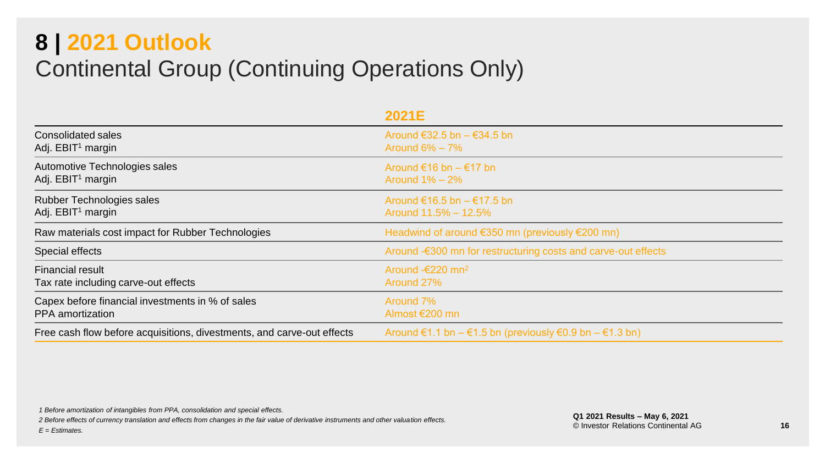# **8 | 2021 Outlook** Continental Group (Continuing Operations Only)

|                                                                        | 2021E                                                                                           |
|------------------------------------------------------------------------|-------------------------------------------------------------------------------------------------|
| Consolidated sales                                                     | Around $\epsilon$ 32.5 bn – $\epsilon$ 34.5 bn                                                  |
| Adj. EBIT <sup>1</sup> margin                                          | Around $6\% - 7\%$                                                                              |
| Automotive Technologies sales                                          | Around $616$ bn $-617$ bn                                                                       |
| Adj. EBIT <sup>1</sup> margin                                          | Around $1\% - 2\%$                                                                              |
| Rubber Technologies sales                                              | Around $\epsilon$ 16.5 bn – $\epsilon$ 17.5 bn                                                  |
| Adj. $EBIT1$ margin                                                    | Around $11.5\% - 12.5\%$                                                                        |
| Raw materials cost impact for Rubber Technologies                      | Headwind of around $\epsilon$ 350 mn (previously $\epsilon$ 200 mn)                             |
| Special effects                                                        | Around -€300 mn for restructuring costs and carve-out effects                                   |
| <b>Financial result</b>                                                | Around $-\epsilon$ 220 mn <sup>2</sup>                                                          |
| Tax rate including carve-out effects                                   | Around 27%                                                                                      |
| Capex before financial investments in % of sales                       | Around 7%                                                                                       |
| PPA amortization                                                       | Almost €200 mn                                                                                  |
| Free cash flow before acquisitions, divestments, and carve-out effects | Around $\epsilon$ 1.1 bn – $\epsilon$ 1.5 bn (previously $\epsilon$ 0.9 bn – $\epsilon$ 1.3 bn) |

*1 Before amortization of intangibles from PPA, consolidation and special effects.*

**Space for Sender Information** *2 Before effects of currency translation and effects from changes in the fair value of derivative instruments and other valuation effects.*

*E = Estimates.*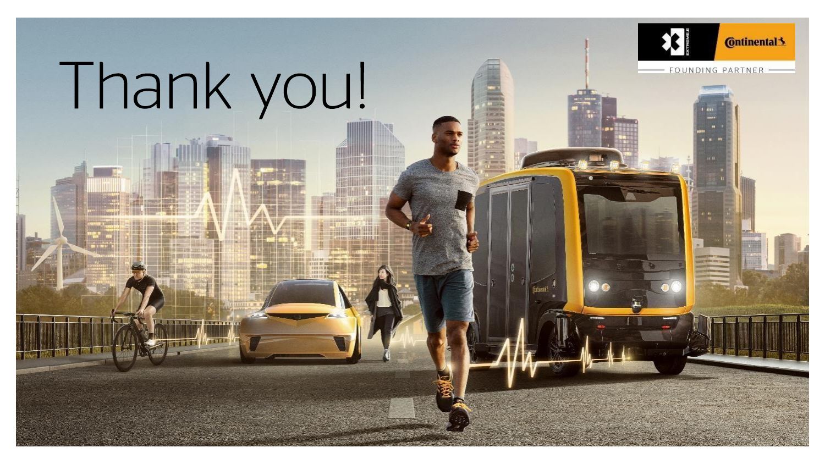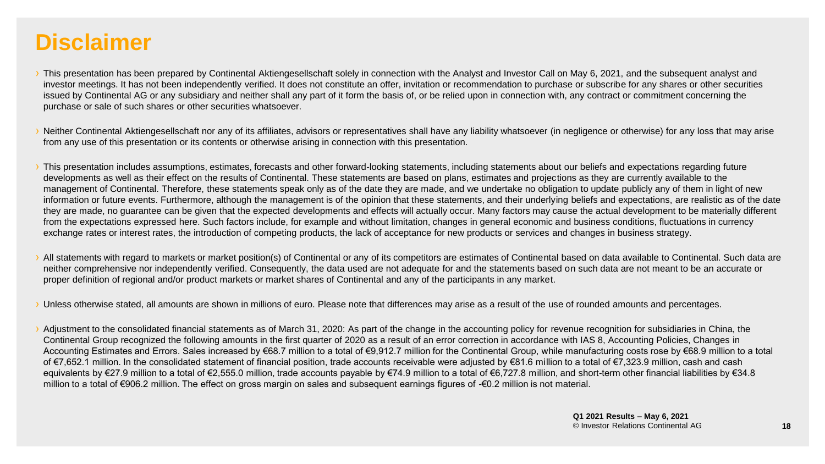# **Disclaimer**

> This presentation has been prepared by Continental Aktiengesellschaft solely in connection with the Analyst and Investor Call on May 6, 2021, and the subsequent analyst and investor meetings. It has not been independently verified. It does not constitute an offer, invitation or recommendation to purchase or subscribe for any shares or other securities issued by Continental AG or any subsidiary and neither shall any part of it form the basis of, or be relied upon in connection with, any contract or commitment concerning the purchase or sale of such shares or other securities whatsoever.

Neither Continental Aktiengesellschaft nor any of its affiliates, advisors or representatives shall have any liability whatsoever (in negligence or otherwise) for any loss that may arise from any use of this presentation or its contents or otherwise arising in connection with this presentation.

 $\lambda$  This presentation includes assumptions, estimates, forecasts and other forward-looking statements, including statements about our beliefs and expectations regarding future developments as well as their effect on the results of Continental. These statements are based on plans, estimates and projections as they are currently available to the management of Continental. Therefore, these statements speak only as of the date they are made, and we undertake no obligation to update publicly any of them in light of new information or future events. Furthermore, although the management is of the opinion that these statements, and their underlying beliefs and expectations, are realistic as of the date they are made, no guarantee can be given that the expected developments and effects will actually occur. Many factors may cause the actual development to be materially different from the expectations expressed here. Such factors include, for example and without limitation, changes in general economic and business conditions, fluctuations in currency exchange rates or interest rates, the introduction of competing products, the lack of acceptance for new products or services and changes in business strategy.

All statements with regard to markets or market position(s) of Continental or any of its competitors are estimates of Continental based on data available to Continental. Such data are neither comprehensive nor independently verified. Consequently, the data used are not adequate for and the statements based on such data are not meant to be an accurate or proper definition of regional and/or product markets or market shares of Continental and any of the participants in any market.

Unless otherwise stated, all amounts are shown in millions of euro. Please note that differences may arise as a result of the use of rounded amounts and percentages.

> Adjustment to the consolidated financial statements as of March 31, 2020: As part of the change in the accounting policy for revenue recognition for subsidiaries in China, the Continental Group recognized the following amounts in the first quarter of 2020 as a result of an error correction in accordance with IAS 8, Accounting Policies, Changes in Accounting Estimates and Errors. Sales increased by €68.7 million to a total of €9,912.7 million for the Continental Group, while manufacturing costs rose by €68.9 million to a total of €7,652.1 million. In the consolidated statement of financial position, trade accounts receivable were adjusted by €81.6 million to a total of €7,323.9 million, cash and cash equivalents by €27.9 million to a total of €2,555.0 million, trade accounts payable by €74.9 million to a total of €6,727.8 million, and short-term other financial liabilities by €34.8 million to a total of €906.2 million. The effect on gross margin on sales and subsequent earnings figures of -€0.2 million is not material.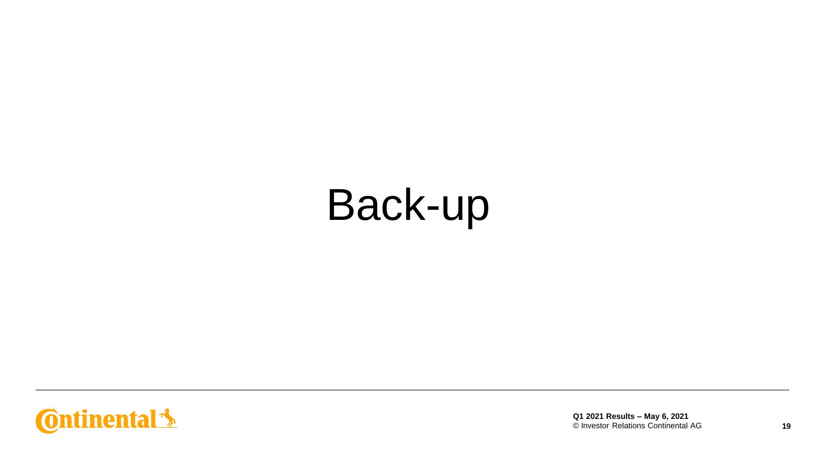# Back-up

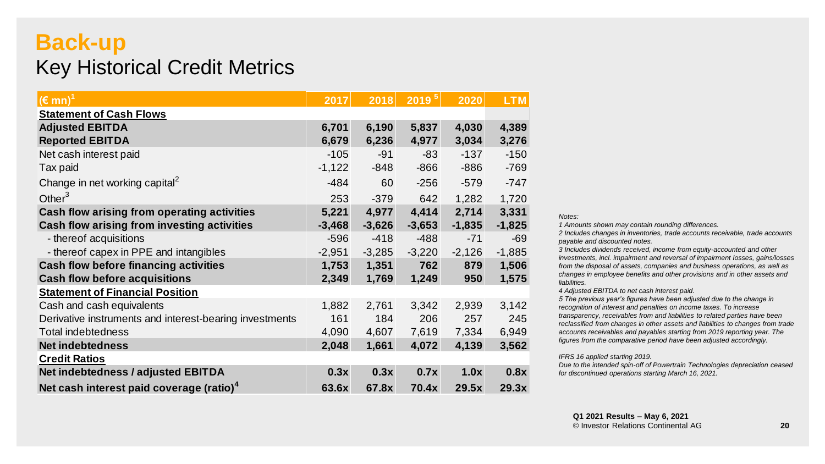# **Back-up** Key Historical Credit Metrics

| $(\epsilon \text{ mn})^1$                               | 2017     | 2018     | $\overline{2019}$ <sup>5</sup> | 2020     | <b>LTM</b> |
|---------------------------------------------------------|----------|----------|--------------------------------|----------|------------|
| <b>Statement of Cash Flows</b>                          |          |          |                                |          |            |
| <b>Adjusted EBITDA</b>                                  | 6,701    | 6,190    | 5,837                          | 4,030    | 4,389      |
| <b>Reported EBITDA</b>                                  | 6,679    | 6,236    | 4,977                          | 3,034    | 3,276      |
| Net cash interest paid                                  | $-105$   | -91      | -83                            | $-137$   | $-150$     |
| Tax paid                                                | $-1,122$ | $-848$   | $-866$                         | $-886$   | $-769$     |
| Change in net working capital <sup>2</sup>              | $-484$   | 60       | $-256$                         | $-579$   | $-747$     |
| Other $3$                                               | 253      | $-379$   | 642                            | 1,282    | 1,720      |
| Cash flow arising from operating activities             | 5,221    | 4,977    | 4,414                          | 2,714    | 3,331      |
| Cash flow arising from investing activities             | $-3,468$ | $-3,626$ | $-3,653$                       | $-1,835$ | $-1,825$   |
| - thereof acquisitions                                  | $-596$   | $-418$   | $-488$                         | $-71$    | $-69$      |
| - thereof capex in PPE and intangibles                  | $-2,951$ | $-3,285$ | $-3,220$                       | $-2,126$ | $-1,885$   |
| <b>Cash flow before financing activities</b>            | 1,753    | 1,351    | 762                            | 879      | 1,506      |
| <b>Cash flow before acquisitions</b>                    | 2,349    | 1,769    | 1,249                          | 950      | 1,575      |
| <b>Statement of Financial Position</b>                  |          |          |                                |          |            |
| Cash and cash equivalents                               | 1,882    | 2,761    | 3,342                          | 2,939    | 3,142      |
| Derivative instruments and interest-bearing investments | 161      | 184      | 206                            | 257      | 245        |
| <b>Total indebtedness</b>                               | 4,090    | 4,607    | 7,619                          | 7,334    | 6,949      |
| <b>Net indebtedness</b>                                 | 2,048    | 1,661    | 4,072                          | 4,139    | 3,562      |
| <b>Credit Ratios</b>                                    |          |          |                                |          |            |
| Net indebtedness / adjusted EBITDA                      | 0.3x     | 0.3x     | 0.7x                           | 1.0x     | 0.8x       |
| Net cash interest paid coverage (ratio) <sup>4</sup>    | 63.6x    | 67.8x    | 70.4x                          | 29.5x    | 29.3x      |

*Notes:*

*1 Amounts shown may contain rounding differences.*

*2 Includes changes in inventories, trade accounts receivable, trade accounts payable and discounted notes.*

*3 Includes dividends received, income from equity-accounted and other investments, incl. impairment and reversal of impairment losses, gains/losses from the disposal of assets, companies and business operations, as well as changes in employee benefits and other provisions and in other assets and liabilities.*

*4 Adjusted EBITDA to net cash interest paid.* 

*5 The previous year's figures have been adjusted due to the change in recognition of interest and penalties on income taxes. To increase transparency, receivables from and liabilities to related parties have been reclassified from changes in other assets and liabilities to changes from trade accounts receivables and payables starting from 2019 reporting year. The figures from the comparative period have been adjusted accordingly.*

#### *IFRS 16 applied starting 2019.*

*Due to the intended spin-off of Powertrain Technologies depreciation ceased for discontinued operations starting March 16, 2021.*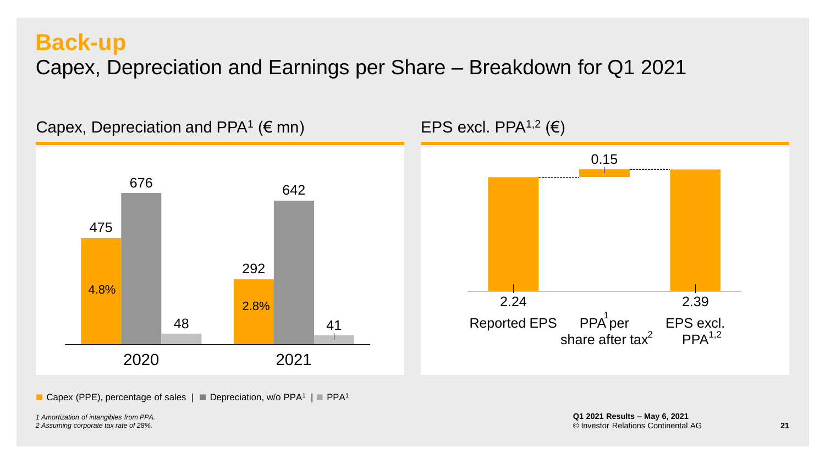## **Back-up**

Capex, Depreciation and Earnings per Share – Breakdown for Q1 2021



■ Capex (PPE), percentage of sales | ■ Depreciation, w/o PPA<sup>1</sup> | ■ PPA<sup>1</sup>

*1 Amortization of intangibles from PPA.*

*2 Assuming corporate tax rate of 28%.*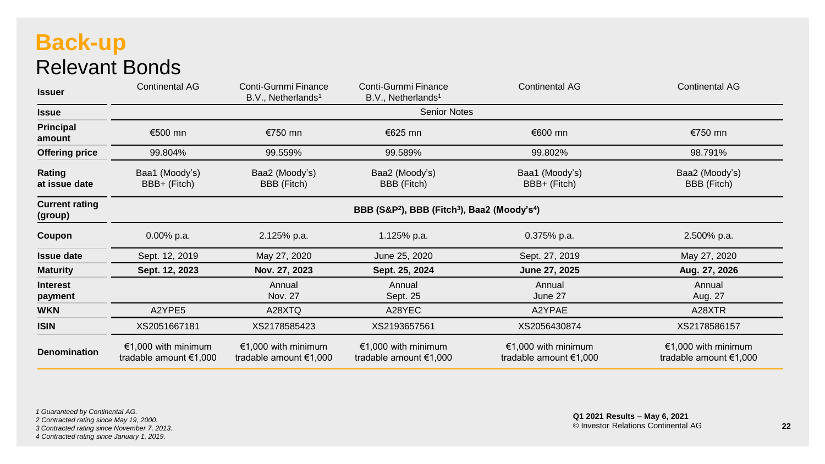# **Back-up** Relevant Bonds

| <b>Issuer</b>                    | <b>Continental AG</b>                           | Conti-Gummi Finance<br>B.V., Netherlands <sup>1</sup> | Conti-Gummi Finance<br>B.V., Netherlands <sup>1</sup>                            | <b>Continental AG</b>                         | <b>Continental AG</b>                         |
|----------------------------------|-------------------------------------------------|-------------------------------------------------------|----------------------------------------------------------------------------------|-----------------------------------------------|-----------------------------------------------|
| <b>Issue</b>                     |                                                 |                                                       | <b>Senior Notes</b>                                                              |                                               |                                               |
| <b>Principal</b><br>amount       | €500 mn                                         | €750 mn                                               | €625 mn                                                                          | €600 mn                                       | €750 mn                                       |
| <b>Offering price</b>            | 99.804%                                         | 99.559%                                               | 99.589%                                                                          | 99.802%                                       | 98.791%                                       |
| Rating<br>at issue date          | Baa1 (Moody's)<br>BBB+ (Fitch)                  | Baa2 (Moody's)<br>BBB (Fitch)                         | Baa2 (Moody's)<br>BBB (Fitch)                                                    | Baa1 (Moody's)<br>BBB+ (Fitch)                | Baa2 (Moody's)<br>BBB (Fitch)                 |
| <b>Current rating</b><br>(group) |                                                 |                                                       | BBB (S&P <sup>2</sup> ), BBB (Fitch <sup>3</sup> ), Baa2 (Moody's <sup>4</sup> ) |                                               |                                               |
| Coupon                           | $0.00\%$ p.a.                                   | 2.125% p.a.                                           | 1.125% p.a.                                                                      | $0.375%$ p.a.                                 | 2.500% p.a.                                   |
| <b>Issue date</b>                | Sept. 12, 2019                                  | May 27, 2020                                          | June 25, 2020                                                                    | Sept. 27, 2019                                | May 27, 2020                                  |
| <b>Maturity</b>                  | Sept. 12, 2023                                  | Nov. 27, 2023                                         | Sept. 25, 2024                                                                   | June 27, 2025                                 | Aug. 27, 2026                                 |
| <b>Interest</b><br>payment       |                                                 | Annual<br>Nov. 27                                     | Annual<br>Sept. 25                                                               | Annual<br>June 27                             | Annual<br>Aug. 27                             |
| <b>WKN</b>                       | A2YPE5                                          | A28XTQ                                                | A28YEC                                                                           | A2YPAE                                        | A28XTR                                        |
| <b>ISIN</b>                      | XS2051667181                                    | XS2178585423                                          | XS2193657561                                                                     | XS2056430874                                  | XS2178586157                                  |
| <b>Denomination</b>              | €1,000 with minimum<br>tradable amount $€1,000$ | €1,000 with minimum<br>tradable amount $€1,000$       | €1,000 with minimum<br>tradable amount $€1,000$                                  | €1,000 with minimum<br>tradable amount €1,000 | €1,000 with minimum<br>tradable amount €1,000 |

*1 Guaranteed by Continental AG.* 

*2 Contracted rating since May 19, 2000.*

*3 Contracted rating since November 7, 2013.*

*4 Contracted rating since January 1, 2019.*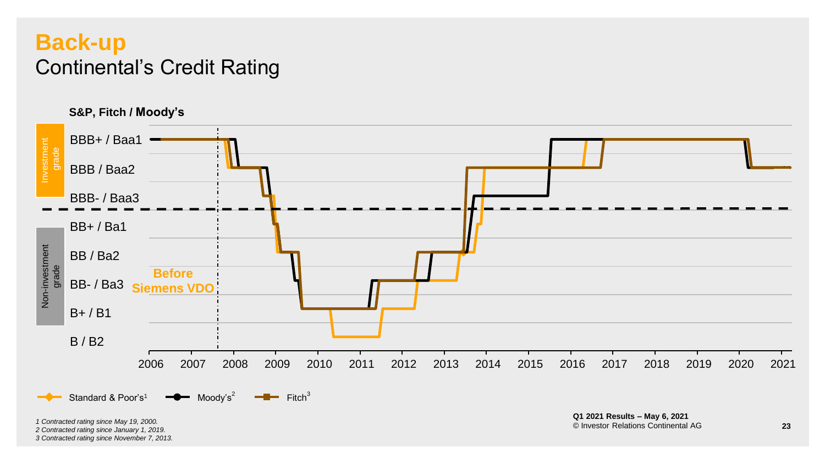# **Back-up** Continental's Credit Rating



*1 Contracted rating since May 19, 2000.*

*2 Contracted rating since January 1, 2019.*

*3 Contracted rating since November 7, 2013.*

**Space for Sender Information Q1 2021 Results – May 6, 2021** © Investor Relations Continental AG **23**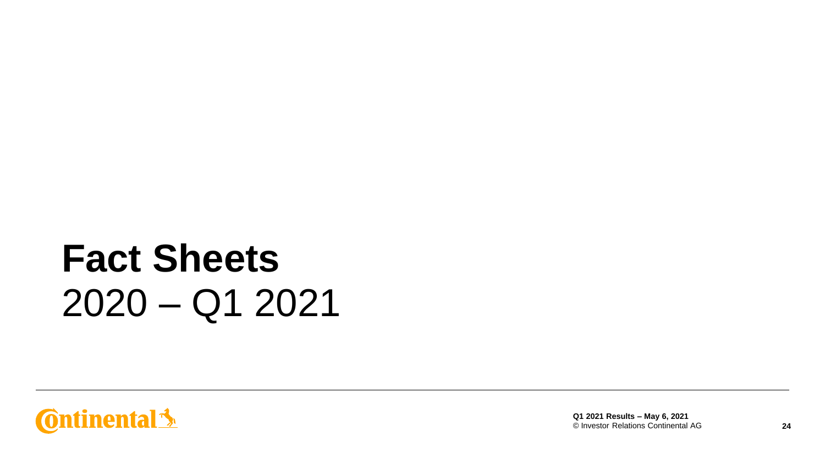# **Fact Sheets** 2020 – Q1 2021



**Space for Sender Information Q1 2021 Results – May 6, 2021** © Investor Relations Continental AG **24**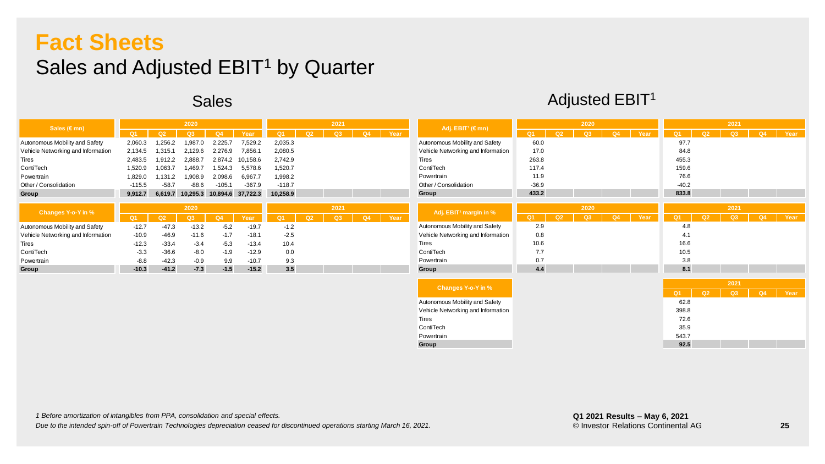# **Fact Sheets** Sales and Adjusted EBIT<sup>1</sup> by Quarter

| Sales ( $\varepsilon$ mn)          |                |                | 2020     |                |                   |                |    | 2021 |                |      |
|------------------------------------|----------------|----------------|----------|----------------|-------------------|----------------|----|------|----------------|------|
|                                    | O <sub>1</sub> | Q <sub>2</sub> | Q3       | Q <sub>4</sub> | Year              | O <sub>1</sub> | Q2 | Q3   | Q <sub>4</sub> | Year |
| Autonomous Mobility and Safety     | 2.060.3        | 1.256.2        | 1.987.0  | 2.225.7        | 7.529.2           | 2.035.3        |    |      |                |      |
| Vehicle Networking and Information | 2.134.5        | 1.315.1        | 2.129.6  | 2.276.9        | 7.856.1           | 2,080.5        |    |      |                |      |
| Tires                              | 2.483.5        | 1.912.2        | 2.888.7  |                | 2.874.2 10.158.6  | 2.742.9        |    |      |                |      |
| ContiTech                          | 1.520.9        | 1.063.7        | 1.469.7  | 1.524.3        | 5.578.6           | 1.520.7        |    |      |                |      |
| Powertrain                         | 1.829.0        | 1.131.2        | 1.908.9  | 2.098.6        | 6.967.7           | 1,998.2        |    |      |                |      |
| Other / Consolidation              | $-115.5$       | $-58.7$        | $-88.6$  | $-105.1$       | $-367.9$          | $-118.7$       |    |      |                |      |
| Group                              | 9.912.7        | 6.619.7        | 10.295.3 |                | 10.894.6 37.722.3 | 10.258.9       |    |      |                |      |

| Changes Y-o-Y in %                 |                |                | 2020    |                |         | 2021           |    |    |                |      |
|------------------------------------|----------------|----------------|---------|----------------|---------|----------------|----|----|----------------|------|
|                                    | Q <sub>1</sub> | O <sub>2</sub> | Q3      | Q <sub>4</sub> | Year    | O <sub>1</sub> | Q2 | Q3 | Q <sub>4</sub> | Year |
| Autonomous Mobility and Safety     | $-12.7$        | $-47.3$        | $-13.2$ | $-5.2$         | $-19.7$ | $-1.2$         |    |    |                |      |
| Vehicle Networking and Information | $-10.9$        | $-46.9$        | $-11.6$ | $-1.7$         | $-18.1$ | $-2.5$         |    |    |                |      |
| <b>Tires</b>                       | $-12.3$        | $-33.4$        | $-3.4$  | $-5.3$         | $-13.4$ | 10.4           |    |    |                |      |
| ContiTech                          | $-3.3$         | $-36.6$        | $-8.0$  | $-1.9$         | $-12.9$ | 0.0            |    |    |                |      |
| Powertrain                         | $-8.8$         | $-42.3$        | $-0.9$  | 9.9            | $-10.7$ | 9.3            |    |    |                |      |
| Group                              | $-10.3$        | $-41.2$        | $-7.3$  | $-1.5$         | $-15.2$ | 3.5            |    |    |                |      |

### Sales **Sales Adjusted EBIT1** Sales **CONSTRUCTION**

| Adj. EBIT <sup>1</sup> ( $\epsilon$ mn) |                |    | 2020 |                |      |                |    | 2021           |                |      |
|-----------------------------------------|----------------|----|------|----------------|------|----------------|----|----------------|----------------|------|
|                                         | Q <sub>1</sub> | Q2 | Q3   | Q <sub>4</sub> | Year | Q <sub>1</sub> | Q2 | Q <sub>3</sub> | Q <sub>4</sub> | Year |
| Autonomous Mobility and Safety          | 60.0           |    |      |                |      | 97.7           |    |                |                |      |
| Vehicle Networking and Information      | 17.0           |    |      |                |      | 84.8           |    |                |                |      |
| <b>Tires</b>                            | 263.8          |    |      |                |      | 455.3          |    |                |                |      |
| ContiTech                               | 117.4          |    |      |                |      | 159.6          |    |                |                |      |
| Powertrain                              | 11.9           |    |      |                |      | 76.6           |    |                |                |      |
| Other / Consolidation                   | $-36.9$        |    |      |                |      | $-40.2$        |    |                |                |      |
| Group                                   | 433.2          |    |      |                |      | 833.8          |    |                |                |      |
|                                         |                |    |      |                |      |                |    |                |                |      |

| Adj. EBIT <sup>1</sup> margin in % |                |    | 2020           |                |      |                |    | 2021           |                |      |
|------------------------------------|----------------|----|----------------|----------------|------|----------------|----|----------------|----------------|------|
|                                    | Q <sub>1</sub> | Q2 | Q <sub>3</sub> | Q <sub>4</sub> | Year | Q <sub>1</sub> | Q2 | Q <sub>3</sub> | Q <sub>4</sub> | Year |
| Autonomous Mobility and Safety     | 2.9            |    |                |                |      | 4.8            |    |                |                |      |
| Vehicle Networking and Information | 0.8            |    |                |                |      | 4.1            |    |                |                |      |
| <b>Tires</b>                       | 10.6           |    |                |                |      | 16.6           |    |                |                |      |
| ContiTech                          | 7.7            |    |                |                |      | 10.5           |    |                |                |      |
| Powertrain                         | 0.7            |    |                |                |      | 3.8            |    |                |                |      |
| Group                              | 4.4            |    |                |                |      | 8.1            |    |                |                |      |

| Changes Y-o-Y in %                 |
|------------------------------------|
|                                    |
| Autonomous Mobility and Safety     |
| Vehicle Networking and Information |
| Tires                              |
| ContiTech                          |
| Powertrain                         |
| Group                              |

*1 Before amortization of intangibles from PPA, consolidation and special effects.*

Due to the intended spin-off of Powertrain Technologies depreciation ceased for discontinued operations starting March 16, 2021.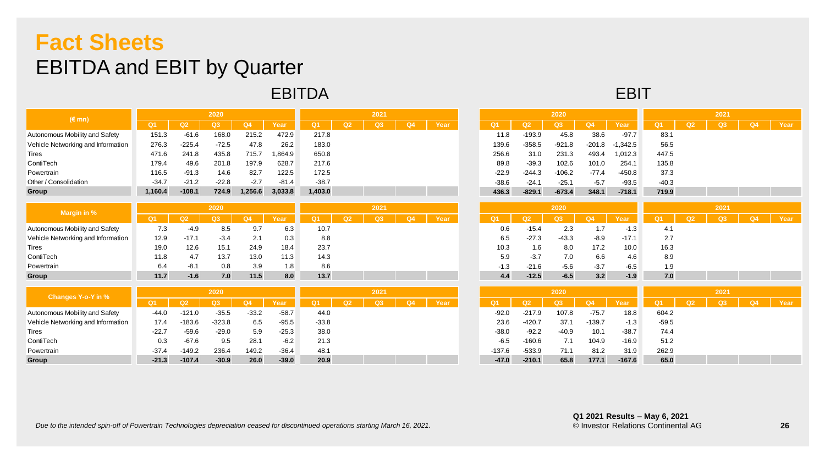# **Fact Sheets** EBITDA and EBIT by Quarter

### **EBITDA**

| $(\epsilon$ mn)                    |                |          | 2020           |                |         |                |    | 2021 |                |      |
|------------------------------------|----------------|----------|----------------|----------------|---------|----------------|----|------|----------------|------|
|                                    | Q <sub>1</sub> | Q2       | Q <sub>3</sub> | Q <sub>4</sub> | Year    | Q <sub>1</sub> | Q2 | Q3   | Q <sub>4</sub> | Year |
| Autonomous Mobility and Safety     | 151.3          | $-61.6$  | 168.0          | 215.2          | 472.9   | 217.8          |    |      |                |      |
| Vehicle Networking and Information | 276.3          | $-225.4$ | $-72.5$        | 47.8           | 26.2    | 183.0          |    |      |                |      |
| Tires                              | 471.6          | 241.8    | 435.8          | 715.7          | 1.864.9 | 650.8          |    |      |                |      |
| ContiTech                          | 179.4          | 49.6     | 201.8          | 197.9          | 628.7   | 217.6          |    |      |                |      |
| Powertrain                         | 116.5          | $-91.3$  | 14.6           | 82.7           | 122.5   | 172.5          |    |      |                |      |
| Other / Consolidation              | $-34.7$        | $-21.2$  | $-22.8$        | $-2.7$         | $-81.4$ | $-38.7$        |    |      |                |      |
| Group                              | 1.160.4        | $-108.1$ | 724.9          | 1.256.6        | 3.033.8 | 1.403.0        |    |      |                |      |

| Margin in %                        |                |                | 2020           |                |      | 2021           |                |    |                |      |
|------------------------------------|----------------|----------------|----------------|----------------|------|----------------|----------------|----|----------------|------|
|                                    | Q <sub>1</sub> | Q <sub>2</sub> | Q <sub>3</sub> | Q <sub>4</sub> | Year | Q <sub>1</sub> | Q <sub>2</sub> | Q3 | Q <sub>4</sub> | Year |
| Autonomous Mobility and Safety     | 7.3            | $-4.9$         | 8.5            | 9.7            | 6.3  | 10.7           |                |    |                |      |
| Vehicle Networking and Information | 12.9           | $-17.1$        | $-3.4$         | 2.1            | 0.3  | 8.8            |                |    |                |      |
| Tires                              | 19.0           | 12.6           | 15.1           | 24.9           | 18.4 | 23.7           |                |    |                |      |
| ContiTech                          | 11.8           | 4.7            | 13.7           | 13.0           | 11.3 | 14.3           |                |    |                |      |
| Powertrain                         | 6.4            | $-8.1$         | 0.8            | 3.9            | 1.8  | 8.6            |                |    |                |      |
| Group                              | 11.7           | $-1.6$         | 7.0            | 11.5           | 8.0  | 13.7           |                |    |                |      |

| Changes Y-o-Y in %                 |                |          | 2020     |         |         |                |                |    |                |      |
|------------------------------------|----------------|----------|----------|---------|---------|----------------|----------------|----|----------------|------|
|                                    | Q <sub>1</sub> | Q2       | Q3       | Q4      | Year    | Q <sub>1</sub> | Q <sub>2</sub> | Q3 | Q <sub>4</sub> | Year |
| Autonomous Mobility and Safety     | $-44.0$        | $-121.0$ | $-35.5$  | $-33.2$ | $-58.7$ | 44.0           |                |    |                |      |
| Vehicle Networking and Information | 17.4           | $-183.6$ | $-323.8$ | 6.5     | $-95.5$ | $-33.8$        |                |    |                |      |
| Tires                              | $-22.7$        | $-59.6$  | $-29.0$  | 5.9     | $-25.3$ | 38.0           |                |    |                |      |
| ContiTech                          | 0.3            | $-67.6$  | 9.5      | 28.1    | $-6.2$  | 21.3           |                |    |                |      |
| Powertrain                         | $-37.4$        | $-149.2$ | 236.4    | 149.2   | $-36.4$ | 48.1           |                |    |                |      |
| Group                              | $-21.3$        | $-107.4$ | $-30.9$  | 26.0    | $-39.0$ | 20.9           |                |    |                |      |

|                |          | 2020           |                |            | 2021           |    |                |                |      |  |  |
|----------------|----------|----------------|----------------|------------|----------------|----|----------------|----------------|------|--|--|
| Q <sub>1</sub> | Q2       | Q <sub>3</sub> | Q <sub>4</sub> | Year       | Q <sub>1</sub> | Q2 | Q <sub>3</sub> | Q <sub>4</sub> | Year |  |  |
| 11.8           | $-193.9$ | 45.8           | 38.6           | $-97.7$    | 83.1           |    |                |                |      |  |  |
| 139.6          | $-358.5$ | $-921.8$       | $-201.8$       | $-1.342.5$ | 56.5           |    |                |                |      |  |  |
| 256.6          | 31.0     | 231.3          | 493.4          | 1.012.3    | 447.5          |    |                |                |      |  |  |
| 89.8           | $-39.3$  | 102.6          | 101.0          | 254.1      | 135.8          |    |                |                |      |  |  |
| $-22.9$        | $-244.3$ | $-106.2$       | $-77.4$        | $-450.8$   | 37.3           |    |                |                |      |  |  |
| $-38.6$        | $-24.1$  | $-25.1$        | $-5.7$         | $-93.5$    | $-40.3$        |    |                |                |      |  |  |
| 436.3          | $-829.1$ | $-673.4$       | 348.1          | $-718.1$   | 719.9          |    |                |                |      |  |  |

|                |         | 2020    |                |         |                | 2021 |    |                |      |  |  |  |
|----------------|---------|---------|----------------|---------|----------------|------|----|----------------|------|--|--|--|
| Q <sub>1</sub> | Q2      | Q3      | Q <sub>4</sub> | Year.   | Q <sub>1</sub> | Q2   | Q3 | Q <sub>4</sub> | Year |  |  |  |
| 0.6            | $-15.4$ | 2.3     | 1.7            | $-1.3$  | 4.1            |      |    |                |      |  |  |  |
| 6.5            | $-27.3$ | $-43.3$ | $-8.9$         | $-17.1$ | 2.7            |      |    |                |      |  |  |  |
| 10.3           | 1.6     | 8.0     | 17.2           | 10.0    | 16.3           |      |    |                |      |  |  |  |
| 5.9            | $-3.7$  | 7.0     | 6.6            | 4.6     | 8.9            |      |    |                |      |  |  |  |
| $-1.3$         | $-21.6$ | $-5.6$  | $-3.7$         | $-6.5$  | 1.9            |      |    |                |      |  |  |  |
| 4.4            | $-12.5$ | $-6.5$  | 3.2            | $-1.9$  | 7.0            |      |    |                |      |  |  |  |

|          |          | 2020    |                |          | 2021           |    |                |                |      |  |  |
|----------|----------|---------|----------------|----------|----------------|----|----------------|----------------|------|--|--|
| Q1       | Q2       | Q3      | Q <sub>4</sub> | Year     | Q <sub>1</sub> | Q2 | Q <sub>3</sub> | Q <sub>4</sub> | Year |  |  |
| $-92.0$  | $-217.9$ | 107.8   | $-75.7$        | 18.8     | 604.2          |    |                |                |      |  |  |
| 23.6     | $-420.7$ | 37.1    | $-139.7$       | $-1.3$   | $-59.5$        |    |                |                |      |  |  |
| $-38.0$  | $-92.2$  | $-40.9$ | 10.1           | $-38.7$  | 74.4           |    |                |                |      |  |  |
| $-6.5$   | $-160.6$ | 7.1     | 104.9          | $-16.9$  | 51.2           |    |                |                |      |  |  |
| $-137.6$ | $-533.9$ | 71.1    | 81.2           | 31.9     | 262.9          |    |                |                |      |  |  |
| $-47.0$  | $-210.1$ | 65.8    | 177.1          | $-167.6$ | 65.0           |    |                |                |      |  |  |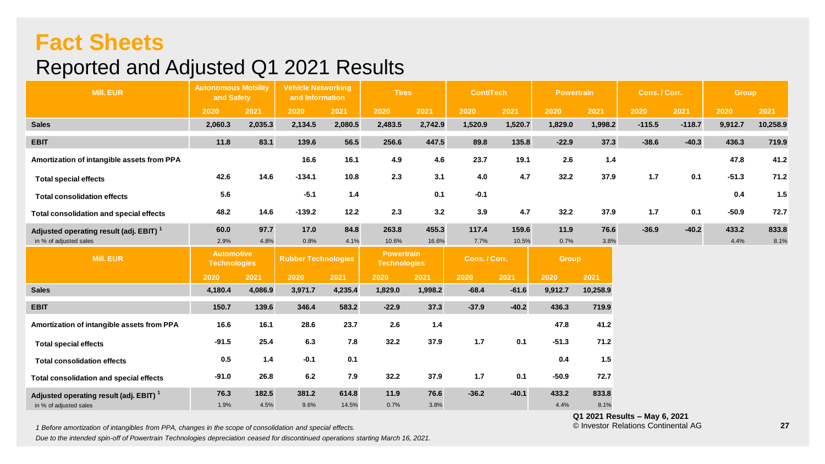# **Fact Sheets** Reported and Adjusted Q1 2021 Results

| Mill. EUR                                          | <b>Autonomous Mobility</b><br>and Safety |               | <b>Vehicle Networking</b><br>and Information |                |              | <b>Tires</b><br><b>ContiTech</b>         |         | <b>Powertrain</b> |               | Cons./Corr.   |          | <b>Group</b> |         |          |
|----------------------------------------------------|------------------------------------------|---------------|----------------------------------------------|----------------|--------------|------------------------------------------|---------|-------------------|---------------|---------------|----------|--------------|---------|----------|
|                                                    | 2020                                     | 2021          | 2020                                         | 2021           | 2020         | 2021                                     | 2020    | 2021              | 2020          | 2021          | 2020     | 2021         | 2020    | 2021     |
| <b>Sales</b>                                       | 2,060.3                                  | 2,035.3       | 2,134.5                                      | 2,080.5        | 2,483.5      | 2,742.9                                  | 1,520.9 | 1,520.7           | 1,829.0       | 1,998.2       | $-115.5$ | $-118.7$     | 9,912.7 | 10,258.9 |
| <b>EBIT</b>                                        | 11.8                                     | 83.1          | 139.6                                        | 56.5           | 256.6        | 447.5                                    | 89.8    | 135.8             | $-22.9$       | 37.3          | $-38.6$  | $-40.3$      | 436.3   | 719.9    |
| Amortization of intangible assets from PPA         |                                          |               | 16.6                                         | 16.1           | 4.9          | 4.6                                      | 23.7    | 19.1              | 2.6           | 1.4           |          |              | 47.8    | 41.2     |
| <b>Total special effects</b>                       | 42.6                                     | 14.6          | $-134.1$                                     | 10.8           | 2.3          | 3.1                                      | 4.0     | 4.7               | 32.2          | 37.9          | 1.7      | 0.1          | $-51.3$ | 71.2     |
| <b>Total consolidation effects</b>                 | 5.6                                      |               | $-5.1$                                       | 1.4            |              | 0.1                                      | $-0.1$  |                   |               |               |          |              | 0.4     | 1.5      |
| Total consolidation and special effects            | 48.2                                     | 14.6          | $-139.2$                                     | 12.2           | 2.3          | 3.2                                      | 3.9     | 4.7               | 32.2          | 37.9          | 1.7      | 0.1          | $-50.9$ | 72.7     |
| Adjusted operating result (adj. EBIT) <sup>1</sup> | 60.0                                     | 97.7          | 17.0                                         | 84.8           | 263.8        | 455.3                                    | 117.4   | 159.6             | 11.9          | 76.6          | $-36.9$  | $-40.2$      | 433.2   | 833.8    |
| in % of adjusted sales                             | 2.9%                                     | 4.8%          | 0.8%                                         | 4.1%           | 10.6%        | 16.6%                                    | 7.7%    | 10.5%             | 0.7%          | 3.8%          |          |              | 4.4%    | 8.1%     |
|                                                    |                                          |               |                                              |                |              | <b>Powertrain</b><br><b>Technologies</b> |         | Cons./Corr.       |               |               |          |              |         |          |
| Mill. EUR                                          | <b>Automotive</b><br><b>Technologies</b> |               | <b>Rubber Technologies</b>                   |                |              |                                          |         |                   | <b>Group</b>  |               |          |              |         |          |
|                                                    | 2020                                     | 2021          | 2020                                         | 2021           | 2020         | 2021                                     | 2020    | 2021              | 2020          | 2021          |          |              |         |          |
| <b>Sales</b>                                       | 4,180.4                                  | 4,086.9       | 3,971.7                                      | 4,235.4        | 1,829.0      | 1,998.2                                  | $-68.4$ | $-61.6$           | 9,912.7       | 10,258.9      |          |              |         |          |
| <b>EBIT</b>                                        | 150.7                                    | 139.6         | 346.4                                        | 583.2          | $-22.9$      | 37.3                                     | $-37.9$ | $-40.2$           | 436.3         | 719.9         |          |              |         |          |
| Amortization of intangible assets from PPA         | 16.6                                     | 16.1          | 28.6                                         | 23.7           | 2.6          | 1.4                                      |         |                   | 47.8          | 41.2          |          |              |         |          |
| <b>Total special effects</b>                       | $-91.5$                                  | 25.4          | 6.3                                          | 7.8            | 32.2         | 37.9                                     | 1.7     | 0.1               | $-51.3$       | 71.2          |          |              |         |          |
| <b>Total consolidation effects</b>                 | 0.5                                      | 1.4           | $-0.1$                                       | 0.1            |              |                                          |         |                   | 0.4           | 1.5           |          |              |         |          |
| Total consolidation and special effects            | $-91.0$                                  | 26.8          | 6.2                                          | 7.9            | 32.2         | 37.9                                     | 1.7     | 0.1               | $-50.9$       | 72.7          |          |              |         |          |
| Adjusted operating result (adj. EBIT) <sup>1</sup> | 76.3<br>1.9%                             | 182.5<br>4.5% | 381.2<br>9.6%                                | 614.8<br>14.5% | 11.9<br>0.7% | 76.6<br>3.8%                             | $-36.2$ | $-40.1$           | 433.2<br>4.4% | 833.8<br>8.1% |          |              |         |          |

*1 Before amortization of intangibles from PPA, changes in the scope of consolidation and special effects.* **27 27 27 27 27 27 27 28 27 28 27 29 29 27 29 27 29 29 29 29 29 29 29** 

*Due to the intended spin-off of Powertrain Technologies depreciation ceased for discontinued operations starting March 16, 2021.*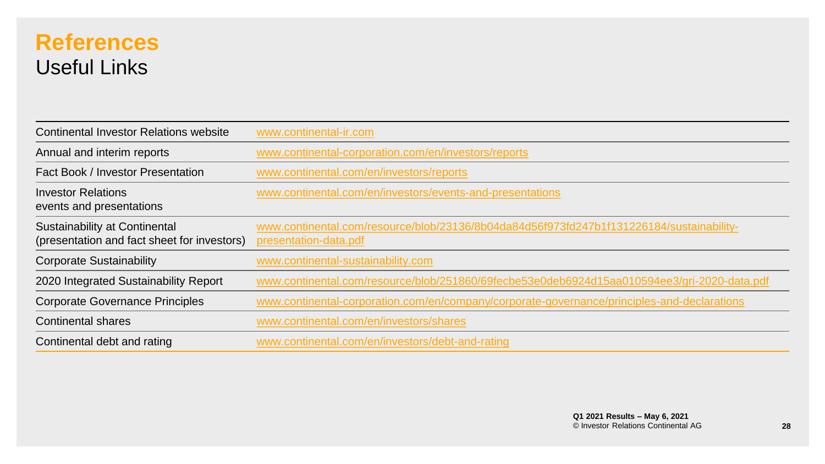# **References** Useful Links

| <b>Continental Investor Relations website</b>                                | www.continental-ir.com                                                                                            |
|------------------------------------------------------------------------------|-------------------------------------------------------------------------------------------------------------------|
| Annual and interim reports                                                   | www.continental-corporation.com/en/investors/reports                                                              |
| Fact Book / Investor Presentation                                            | www.continental.com/en/investors/reports                                                                          |
| <b>Investor Relations</b><br>events and presentations                        | www.continental.com/en/investors/events-and-presentations                                                         |
| Sustainability at Continental<br>(presentation and fact sheet for investors) | www.continental.com/resource/blob/23136/8b04da84d56f973fd247b1f131226184/sustainability-<br>presentation-data.pdf |
| <b>Corporate Sustainability</b>                                              | www.continental-sustainability.com                                                                                |
| 2020 Integrated Sustainability Report                                        | www.continental.com/resource/blob/251860/69fecbe53e0deb6924d15aa010594ee3/gri-2020-data.pdf                       |
| <b>Corporate Governance Principles</b>                                       | www.continental-corporation.com/en/company/corporate-governance/principles-and-declarations                       |
| Continental shares                                                           | www.continental.com/en/investors/shares                                                                           |
| Continental debt and rating                                                  | www.continental.com/en/investors/debt-and-rating                                                                  |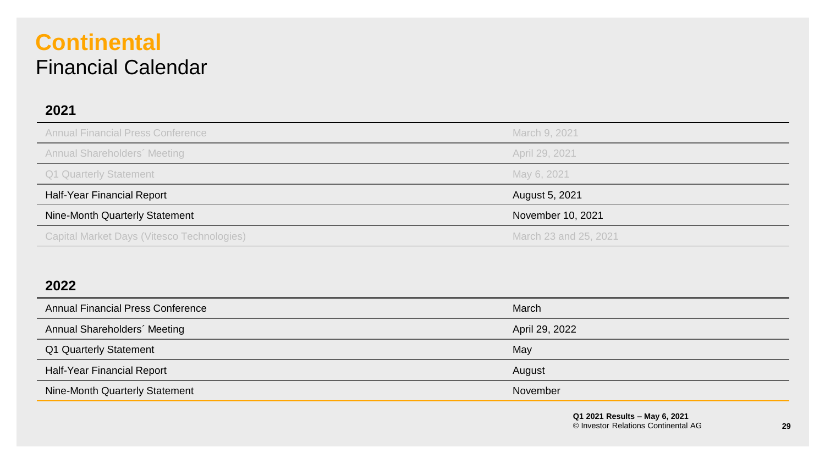# **Continental** Financial Calendar

### **2021**

| <b>Annual Financial Press Conference</b> | March 9, 2021     |
|------------------------------------------|-------------------|
| Annual Shareholders' Meeting             | April 29, 2021    |
| Q1 Quarterly Statement                   | May 6, 2021       |
| <b>Half-Year Financial Report</b>        | August 5, 2021    |
| Nine-Month Quarterly Statement           | November 10, 2021 |
|                                          |                   |

### **2022**

| Annual Financial Press Conference | March          |
|-----------------------------------|----------------|
| Annual Shareholders' Meeting      | April 29, 2022 |
| Q1 Quarterly Statement            | May            |
| Half-Year Financial Report        | August         |
| Nine-Month Quarterly Statement    | November       |